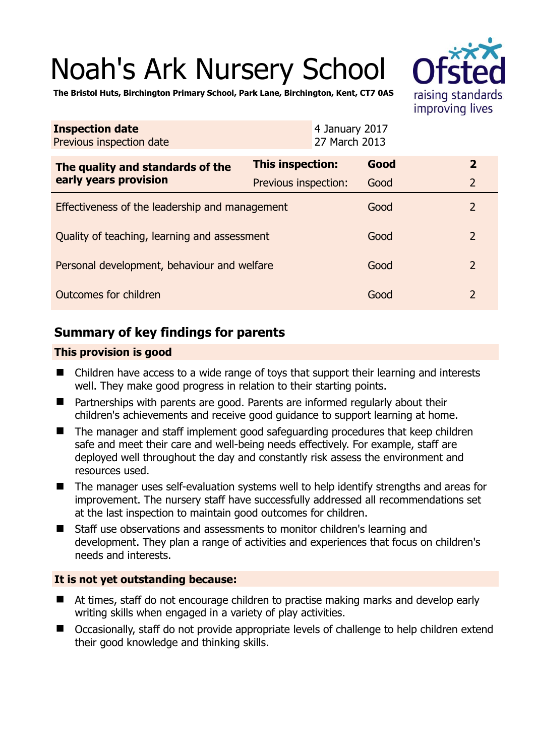# Noah's Ark Nursery School



**The Bristol Huts, Birchington Primary School, Park Lane, Birchington, Kent, CT7 0AS** 

| <b>Inspection date</b><br>Previous inspection date        | 4 January 2017<br>27 March 2013 |      |                |
|-----------------------------------------------------------|---------------------------------|------|----------------|
| The quality and standards of the<br>early years provision | This inspection:                | Good | $\mathbf{2}$   |
|                                                           | Previous inspection:            | Good | $\overline{2}$ |
| Effectiveness of the leadership and management            |                                 | Good | $\overline{2}$ |
| Quality of teaching, learning and assessment              |                                 | Good | $\overline{2}$ |
| Personal development, behaviour and welfare               |                                 | Good | $\overline{2}$ |
| Outcomes for children                                     |                                 |      | $\overline{2}$ |

# **Summary of key findings for parents**

## **This provision is good**

- Children have access to a wide range of toys that support their learning and interests well. They make good progress in relation to their starting points.
- Partnerships with parents are good. Parents are informed regularly about their children's achievements and receive good guidance to support learning at home.
- The manager and staff implement good safeguarding procedures that keep children safe and meet their care and well-being needs effectively. For example, staff are deployed well throughout the day and constantly risk assess the environment and resources used.
- The manager uses self-evaluation systems well to help identify strengths and areas for improvement. The nursery staff have successfully addressed all recommendations set at the last inspection to maintain good outcomes for children.
- Staff use observations and assessments to monitor children's learning and development. They plan a range of activities and experiences that focus on children's needs and interests.

## **It is not yet outstanding because:**

- At times, staff do not encourage children to practise making marks and develop early writing skills when engaged in a variety of play activities.
- Occasionally, staff do not provide appropriate levels of challenge to help children extend their good knowledge and thinking skills.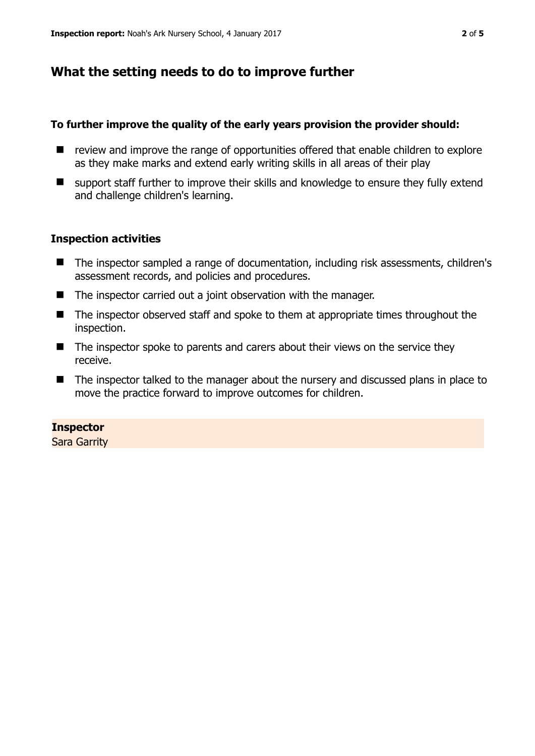## **What the setting needs to do to improve further**

#### **To further improve the quality of the early years provision the provider should:**

- $\blacksquare$  review and improve the range of opportunities offered that enable children to explore as they make marks and extend early writing skills in all areas of their play
- support staff further to improve their skills and knowledge to ensure they fully extend and challenge children's learning.

#### **Inspection activities**

- The inspector sampled a range of documentation, including risk assessments, children's assessment records, and policies and procedures.
- The inspector carried out a joint observation with the manager.
- The inspector observed staff and spoke to them at appropriate times throughout the inspection.
- The inspector spoke to parents and carers about their views on the service they receive.
- The inspector talked to the manager about the nursery and discussed plans in place to move the practice forward to improve outcomes for children.

#### **Inspector**

Sara Garrity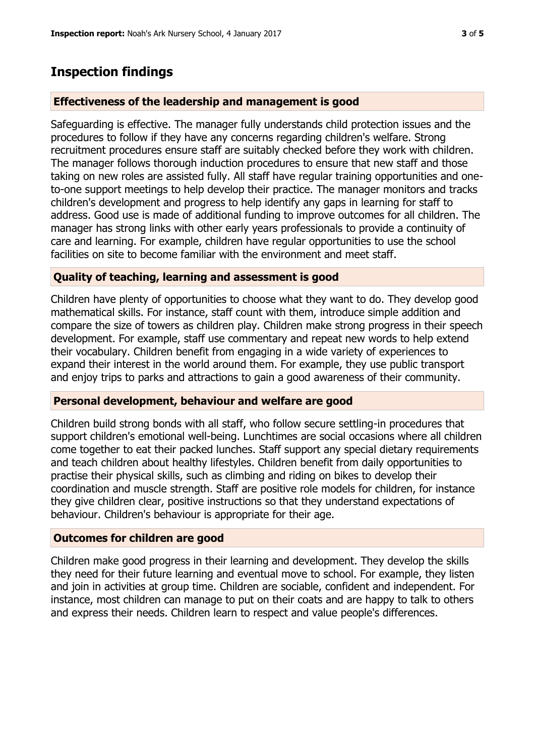## **Inspection findings**

#### **Effectiveness of the leadership and management is good**

Safeguarding is effective. The manager fully understands child protection issues and the procedures to follow if they have any concerns regarding children's welfare. Strong recruitment procedures ensure staff are suitably checked before they work with children. The manager follows thorough induction procedures to ensure that new staff and those taking on new roles are assisted fully. All staff have regular training opportunities and oneto-one support meetings to help develop their practice. The manager monitors and tracks children's development and progress to help identify any gaps in learning for staff to address. Good use is made of additional funding to improve outcomes for all children. The manager has strong links with other early years professionals to provide a continuity of care and learning. For example, children have regular opportunities to use the school facilities on site to become familiar with the environment and meet staff.

#### **Quality of teaching, learning and assessment is good**

Children have plenty of opportunities to choose what they want to do. They develop good mathematical skills. For instance, staff count with them, introduce simple addition and compare the size of towers as children play. Children make strong progress in their speech development. For example, staff use commentary and repeat new words to help extend their vocabulary. Children benefit from engaging in a wide variety of experiences to expand their interest in the world around them. For example, they use public transport and enjoy trips to parks and attractions to gain a good awareness of their community.

#### **Personal development, behaviour and welfare are good**

Children build strong bonds with all staff, who follow secure settling-in procedures that support children's emotional well-being. Lunchtimes are social occasions where all children come together to eat their packed lunches. Staff support any special dietary requirements and teach children about healthy lifestyles. Children benefit from daily opportunities to practise their physical skills, such as climbing and riding on bikes to develop their coordination and muscle strength. Staff are positive role models for children, for instance they give children clear, positive instructions so that they understand expectations of behaviour. Children's behaviour is appropriate for their age.

#### **Outcomes for children are good**

Children make good progress in their learning and development. They develop the skills they need for their future learning and eventual move to school. For example, they listen and join in activities at group time. Children are sociable, confident and independent. For instance, most children can manage to put on their coats and are happy to talk to others and express their needs. Children learn to respect and value people's differences.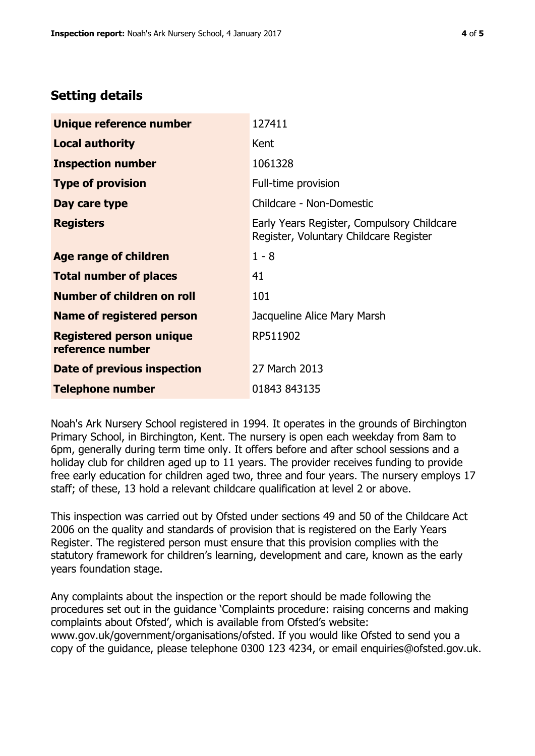## **Setting details**

| Unique reference number                             | 127411                                                                               |  |
|-----------------------------------------------------|--------------------------------------------------------------------------------------|--|
| <b>Local authority</b>                              | Kent                                                                                 |  |
| <b>Inspection number</b>                            | 1061328                                                                              |  |
| <b>Type of provision</b>                            | Full-time provision                                                                  |  |
| Day care type                                       | Childcare - Non-Domestic                                                             |  |
| <b>Registers</b>                                    | Early Years Register, Compulsory Childcare<br>Register, Voluntary Childcare Register |  |
| Age range of children                               | $1 - 8$                                                                              |  |
| <b>Total number of places</b>                       | 41                                                                                   |  |
| Number of children on roll                          | 101                                                                                  |  |
| Name of registered person                           | Jacqueline Alice Mary Marsh                                                          |  |
| <b>Registered person unique</b><br>reference number | RP511902                                                                             |  |
| <b>Date of previous inspection</b>                  | 27 March 2013                                                                        |  |
| <b>Telephone number</b>                             | 01843 843135                                                                         |  |

Noah's Ark Nursery School registered in 1994. It operates in the grounds of Birchington Primary School, in Birchington, Kent. The nursery is open each weekday from 8am to 6pm, generally during term time only. It offers before and after school sessions and a holiday club for children aged up to 11 years. The provider receives funding to provide free early education for children aged two, three and four years. The nursery employs 17 staff; of these, 13 hold a relevant childcare qualification at level 2 or above.

This inspection was carried out by Ofsted under sections 49 and 50 of the Childcare Act 2006 on the quality and standards of provision that is registered on the Early Years Register. The registered person must ensure that this provision complies with the statutory framework for children's learning, development and care, known as the early years foundation stage.

Any complaints about the inspection or the report should be made following the procedures set out in the guidance 'Complaints procedure: raising concerns and making complaints about Ofsted', which is available from Ofsted's website: www.gov.uk/government/organisations/ofsted. If you would like Ofsted to send you a copy of the guidance, please telephone 0300 123 4234, or email enquiries@ofsted.gov.uk.